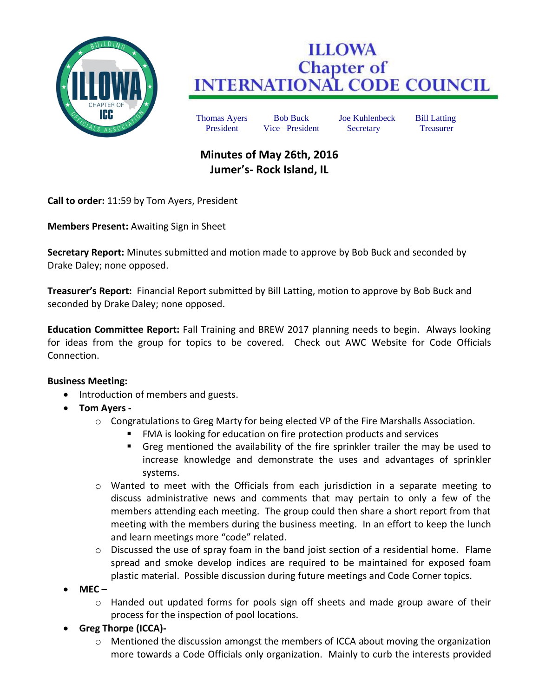

## **ILLOWA Chapter of<br>INTERNATIONAL CODE COUNCIL**

Thomas Ayers Bob Buck Joe Kuhlenbeck Bill Latting President Vice –President Secretary Treasurer

## **Minutes of May 26th, 2016 Jumer's- Rock Island, IL**

**Call to order:** 11:59 by Tom Ayers, President

**Members Present:** Awaiting Sign in Sheet

**Secretary Report:** Minutes submitted and motion made to approve by Bob Buck and seconded by Drake Daley; none opposed.

**Treasurer's Report:** Financial Report submitted by Bill Latting, motion to approve by Bob Buck and seconded by Drake Daley; none opposed.

**Education Committee Report:** Fall Training and BREW 2017 planning needs to begin. Always looking for ideas from the group for topics to be covered. Check out AWC Website for Code Officials Connection.

## **Business Meeting:**

- Introduction of members and guests.
- **Tom Ayers** 
	- o Congratulations to Greg Marty for being elected VP of the Fire Marshalls Association.
		- FMA is looking for education on fire protection products and services
		- Greg mentioned the availability of the fire sprinkler trailer the may be used to increase knowledge and demonstrate the uses and advantages of sprinkler systems.
	- $\circ$  Wanted to meet with the Officials from each jurisdiction in a separate meeting to discuss administrative news and comments that may pertain to only a few of the members attending each meeting. The group could then share a short report from that meeting with the members during the business meeting. In an effort to keep the lunch and learn meetings more "code" related.
	- $\circ$  Discussed the use of spray foam in the band joist section of a residential home. Flame spread and smoke develop indices are required to be maintained for exposed foam plastic material. Possible discussion during future meetings and Code Corner topics.
- **MEC –**
	- o Handed out updated forms for pools sign off sheets and made group aware of their process for the inspection of pool locations.
- **Greg Thorpe (ICCA)-**
	- $\circ$  Mentioned the discussion amongst the members of ICCA about moving the organization more towards a Code Officials only organization. Mainly to curb the interests provided